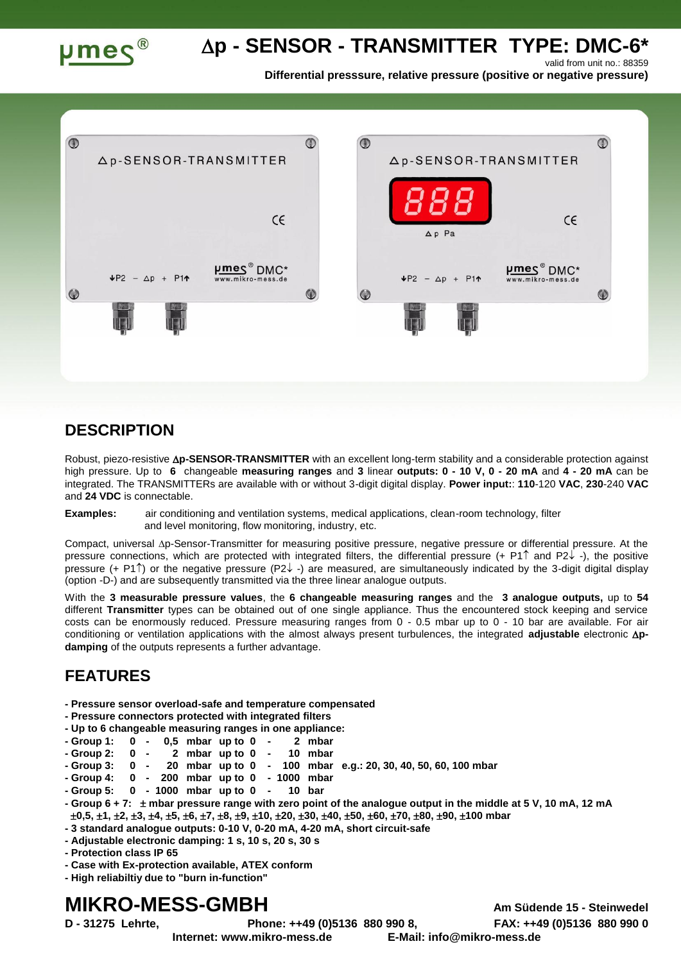

# **p - SENSOR - TRANSMITTER TYPE: DMC-6\***

valid from unit no.: 88359

**Differential presssure, relative pressure (positive or negative pressure)**



### **DESCRIPTION**

Robust, piezo-resistive **Ap-SENSOR-TRANSMITTER** with an excellent long-term stability and a considerable protection against high pressure. Up to **6** changeable **measuring ranges** and **3** linear **outputs: 0 - 10 V, 0 - 20 mA** and **4 - 20 mA** can be integrated. The TRANSMITTERs are available with or without 3-digit digital display. **Power input:**: **110**-120 **VAC**, **230**-240 **VAC** and **24 VDC** is connectable.

**Examples:** air conditioning and ventilation systems, medical applications, clean-room technology, filter and level monitoring, flow monitoring, industry, etc.

Compact, universal  $\Delta p$ -Sensor-Transmitter for measuring positive pressure, negative pressure or differential pressure. At the pressure connections, which are protected with integrated filters, the differential pressure  $(+ P1\hat{\uparrow})$  and  $P2\hat{\downarrow}$  -), the positive pressure (+ P1 $\uparrow$ ) or the negative pressure (P2 $\downarrow$  -) are measured, are simultaneously indicated by the 3-digit digital display (option -D-) and are subsequently transmitted via the three linear analogue outputs.

With the **3 measurable pressure values**, the **6 changeable measuring ranges** and the **3 analogue outputs,** up to **54** different **Transmitter** types can be obtained out of one single appliance. Thus the encountered stock keeping and service costs can be enormously reduced. Pressure measuring ranges from 0 - 0.5 mbar up to 0 - 10 bar are available. For air conditioning or ventilation applications with the almost always present turbulences, the integrated **adjustable** electronic  $\Delta p$ **damping** of the outputs represents a further advantage.

## **FEATURES**

- **- Pressure sensor overload-safe and temperature compensated**
- **- Pressure connectors protected with integrated filters**
- **- Up to 6 changeable measuring ranges in one appliance:**
- **- Group 1: 0 - 0,5 mbar up to 0 - 2 mbar**
- **- Group 2: 0 - 2 mbar up to 0 - 10 mbar**
- **- Group 3: 0 - 20 mbar up to 0 - 100 mbar e.g.: 20, 30, 40, 50, 60, 100 mbar**
- **- Group 4: 0 - 200 mbar up to 0 - 1000 mbar**
- **- Group 5: 0 - 1000 mbar up to 0 - 10 bar**
- **- Group 6 + 7: mbar pressure range with zero point of the analogue output in the middle at 5 V, 10 mA, 12 mA 0,5, 1, 2, 3, 4, 5, 6, 7, 8, 9, 10, 20, 30, 40, 50, 60, 70, 80, 90, 100 mbar**
- **- 3 standard analogue outputs: 0-10 V, 0-20 mA, 4-20 mA, short circuit-safe**
- **- Adjustable electronic damping: 1 s, 10 s, 20 s, 30 s**
- **- Protection class IP 65**
- **- Case with Ex-protection available, ATEX conform**
- **- High reliabiltiy due to "burn in-function"**

# **MIKRO-MESS-GMBH Am Südende 15 - Steinwedel**

**D - 31275 Lehrte, Phone: ++49 (0)5136 880 990 8, FAX: ++49 (0)5136 880 990 0 Internet: www.mikro-mess.de E-Mail: info@mikro-mess.de**